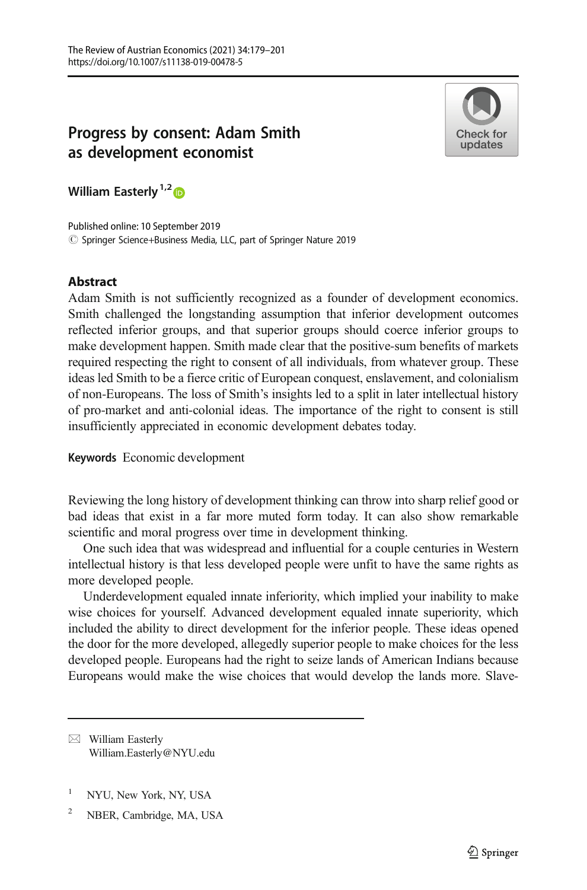# Progress by consent: Adam Smith as development economist



William Easterly<sup>1,2</sup><sup>6</sup>

© Springer Science+Business Media, LLC, part of Springer Nature 2019 Published online: 10 September 2019

# Abstract

Adam Smith is not sufficiently recognized as a founder of development economics. Smith challenged the longstanding assumption that inferior development outcomes reflected inferior groups, and that superior groups should coerce inferior groups to make development happen. Smith made clear that the positive-sum benefits of markets required respecting the right to consent of all individuals, from whatever group. These ideas led Smith to be a fierce critic of European conquest, enslavement, and colonialism of non-Europeans. The loss of Smith's insights led to a split in later intellectual history of pro-market and anti-colonial ideas. The importance of the right to consent is still insufficiently appreciated in economic development debates today.

Keywords Economic development

Reviewing the long history of development thinking can throw into sharp relief good or bad ideas that exist in a far more muted form today. It can also show remarkable scientific and moral progress over time in development thinking.

One such idea that was widespread and influential for a couple centuries in Western intellectual history is that less developed people were unfit to have the same rights as more developed people.

Underdevelopment equaled innate inferiority, which implied your inability to make wise choices for yourself. Advanced development equaled innate superiority, which included the ability to direct development for the inferior people. These ideas opened the door for the more developed, allegedly superior people to make choices for the less developed people. Europeans had the right to seize lands of American Indians because Europeans would make the wise choices that would develop the lands more. Slave-

 $\boxtimes$  William Easterly [William.Easterly@NYU.edu](mailto:William.Easterly@NYU.edu)

- <sup>1</sup> NYU, New York, NY, USA
- <sup>2</sup> NBER, Cambridge, MA, USA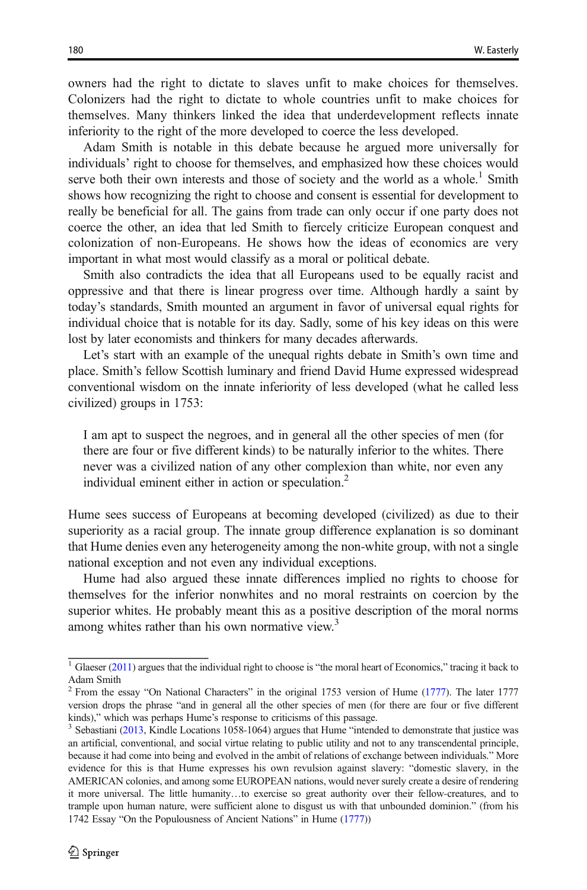owners had the right to dictate to slaves unfit to make choices for themselves. Colonizers had the right to dictate to whole countries unfit to make choices for themselves. Many thinkers linked the idea that underdevelopment reflects innate inferiority to the right of the more developed to coerce the less developed.

Adam Smith is notable in this debate because he argued more universally for individuals' right to choose for themselves, and emphasized how these choices would serve both their own interests and those of society and the world as a whole.<sup>1</sup> Smith shows how recognizing the right to choose and consent is essential for development to really be beneficial for all. The gains from trade can only occur if one party does not coerce the other, an idea that led Smith to fiercely criticize European conquest and colonization of non-Europeans. He shows how the ideas of economics are very important in what most would classify as a moral or political debate.

Smith also contradicts the idea that all Europeans used to be equally racist and oppressive and that there is linear progress over time. Although hardly a saint by today's standards, Smith mounted an argument in favor of universal equal rights for individual choice that is notable for its day. Sadly, some of his key ideas on this were lost by later economists and thinkers for many decades afterwards.

Let's start with an example of the unequal rights debate in Smith's own time and place. Smith's fellow Scottish luminary and friend David Hume expressed widespread conventional wisdom on the innate inferiority of less developed (what he called less civilized) groups in 1753:

I am apt to suspect the negroes, and in general all the other species of men (for there are four or five different kinds) to be naturally inferior to the whites. There never was a civilized nation of any other complexion than white, nor even any individual eminent either in action or speculation.<sup>2</sup>

Hume sees success of Europeans at becoming developed (civilized) as due to their superiority as a racial group. The innate group difference explanation is so dominant that Hume denies even any heterogeneity among the non-white group, with not a single national exception and not even any individual exceptions.

Hume had also argued these innate differences implied no rights to choose for themselves for the inferior nonwhites and no moral restraints on coercion by the superior whites. He probably meant this as a positive description of the moral norms among whites rather than his own normative view.<sup>3</sup>

 $1$  Glaeser ([2011](#page-22-0)) argues that the individual right to choose is "the moral heart of Economics," tracing it back to Adam Smith

<sup>&</sup>lt;sup>2</sup> From the essay "On National Characters" in the original 1753 version of Hume [\(1777\)](#page-22-0). The later 1777 version drops the phrase "and in general all the other species of men (for there are four or five different kinds)," which was perhaps Hume's response to criticisms of this passage.<br> $3$  Sebastiani [\(2013,](#page-22-0) Kindle Locations 1058-1064) argues that Hume "intended to demonstrate that justice was

an artificial, conventional, and social virtue relating to public utility and not to any transcendental principle, because it had come into being and evolved in the ambit of relations of exchange between individuals." More evidence for this is that Hume expresses his own revulsion against slavery: "domestic slavery, in the AMERICAN colonies, and among some EUROPEAN nations, would never surely create a desire of rendering it more universal. The little humanity…to exercise so great authority over their fellow-creatures, and to trample upon human nature, were sufficient alone to disgust us with that unbounded dominion." (from his 1742 Essay "On the Populousness of Ancient Nations" in Hume [\(1777\)](#page-22-0))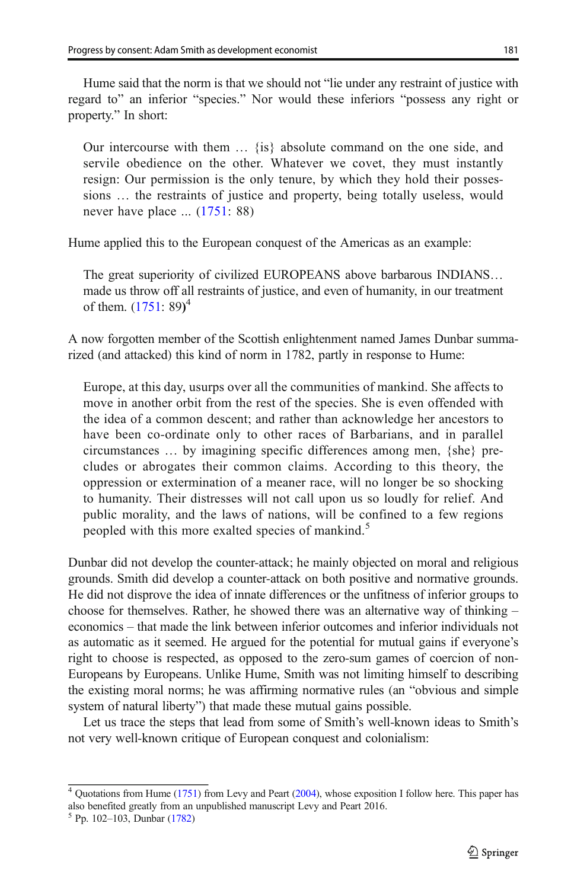Hume said that the norm is that we should not "lie under any restraint of justice with regard to" an inferior "species." Nor would these inferiors "possess any right or property." In short:

Our intercourse with them … {is} absolute command on the one side, and servile obedience on the other. Whatever we covet, they must instantly resign: Our permission is the only tenure, by which they hold their possessions … the restraints of justice and property, being totally useless, would never have place ... [\(1751:](#page-22-0) 88)

Hume applied this to the European conquest of the Americas as an example:

The great superiority of civilized EUROPEANS above barbarous INDIANS… made us throw off all restraints of justice, and even of humanity, in our treatment of them. [\(1751:](#page-22-0) 89)<sup>4</sup>

A now forgotten member of the Scottish enlightenment named James Dunbar summarized (and attacked) this kind of norm in 1782, partly in response to Hume:

Europe, at this day, usurps over all the communities of mankind. She affects to move in another orbit from the rest of the species. She is even offended with the idea of a common descent; and rather than acknowledge her ancestors to have been co-ordinate only to other races of Barbarians, and in parallel circumstances … by imagining specific differences among men, {she} precludes or abrogates their common claims. According to this theory, the oppression or extermination of a meaner race, will no longer be so shocking to humanity. Their distresses will not call upon us so loudly for relief. And public morality, and the laws of nations, will be confined to a few regions peopled with this more exalted species of mankind.<sup>5</sup>

Dunbar did not develop the counter-attack; he mainly objected on moral and religious grounds. Smith did develop a counter-attack on both positive and normative grounds. He did not disprove the idea of innate differences or the unfitness of inferior groups to choose for themselves. Rather, he showed there was an alternative way of thinking – economics – that made the link between inferior outcomes and inferior individuals not as automatic as it seemed. He argued for the potential for mutual gains if everyone's right to choose is respected, as opposed to the zero-sum games of coercion of non-Europeans by Europeans. Unlike Hume, Smith was not limiting himself to describing the existing moral norms; he was affirming normative rules (an "obvious and simple system of natural liberty") that made these mutual gains possible.

Let us trace the steps that lead from some of Smith's well-known ideas to Smith's not very well-known critique of European conquest and colonialism:

<sup>&</sup>lt;sup>4</sup> Quotations from Hume ([1751](#page-22-0)) from Levy and Peart [\(2004\)](#page-22-0), whose exposition I follow here. This paper has also benefited greatly from an unpublished manuscript Levy and Peart 2016.

<sup>5</sup> Pp. 102–103, Dunbar [\(1782\)](#page-21-0)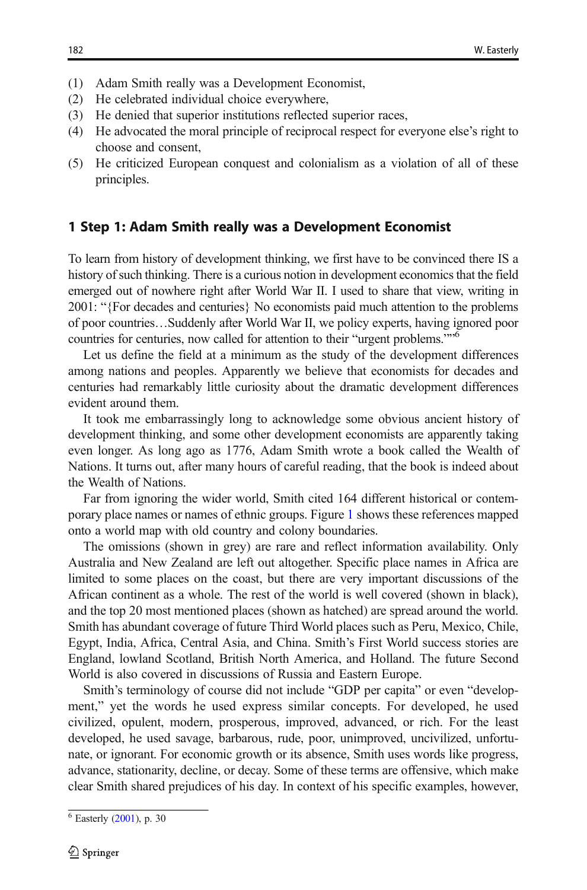- (1) Adam Smith really was a Development Economist,
- (2) He celebrated individual choice everywhere,
- (3) He denied that superior institutions reflected superior races,
- (4) He advocated the moral principle of reciprocal respect for everyone else's right to choose and consent,
- (5) He criticized European conquest and colonialism as a violation of all of these principles.

#### 1 Step 1: Adam Smith really was a Development Economist

To learn from history of development thinking, we first have to be convinced there IS a history of such thinking. There is a curious notion in development economics that the field emerged out of nowhere right after World War II. I used to share that view, writing in 2001: "{For decades and centuries} No economists paid much attention to the problems of poor countries…Suddenly after World War II, we policy experts, having ignored poor countries for centuries, now called for attention to their "urgent problems.""<sup>6</sup>

Let us define the field at a minimum as the study of the development differences among nations and peoples. Apparently we believe that economists for decades and centuries had remarkably little curiosity about the dramatic development differences evident around them.

It took me embarrassingly long to acknowledge some obvious ancient history of development thinking, and some other development economists are apparently taking even longer. As long ago as 1776, Adam Smith wrote a book called the Wealth of Nations. It turns out, after many hours of careful reading, that the book is indeed about the Wealth of Nations.

Far from ignoring the wider world, Smith cited 164 different historical or contemporary place names or names of ethnic groups. Figure [1](#page-4-0) shows these references mapped onto a world map with old country and colony boundaries.

The omissions (shown in grey) are rare and reflect information availability. Only Australia and New Zealand are left out altogether. Specific place names in Africa are limited to some places on the coast, but there are very important discussions of the African continent as a whole. The rest of the world is well covered (shown in black), and the top 20 most mentioned places (shown as hatched) are spread around the world. Smith has abundant coverage of future Third World places such as Peru, Mexico, Chile, Egypt, India, Africa, Central Asia, and China. Smith's First World success stories are England, lowland Scotland, British North America, and Holland. The future Second World is also covered in discussions of Russia and Eastern Europe.

Smith's terminology of course did not include "GDP per capita" or even "development," yet the words he used express similar concepts. For developed, he used civilized, opulent, modern, prosperous, improved, advanced, or rich. For the least developed, he used savage, barbarous, rude, poor, unimproved, uncivilized, unfortunate, or ignorant. For economic growth or its absence, Smith uses words like progress, advance, stationarity, decline, or decay. Some of these terms are offensive, which make clear Smith shared prejudices of his day. In context of his specific examples, however,

 $6$  Easterly [\(2001](#page-21-0)), p. 30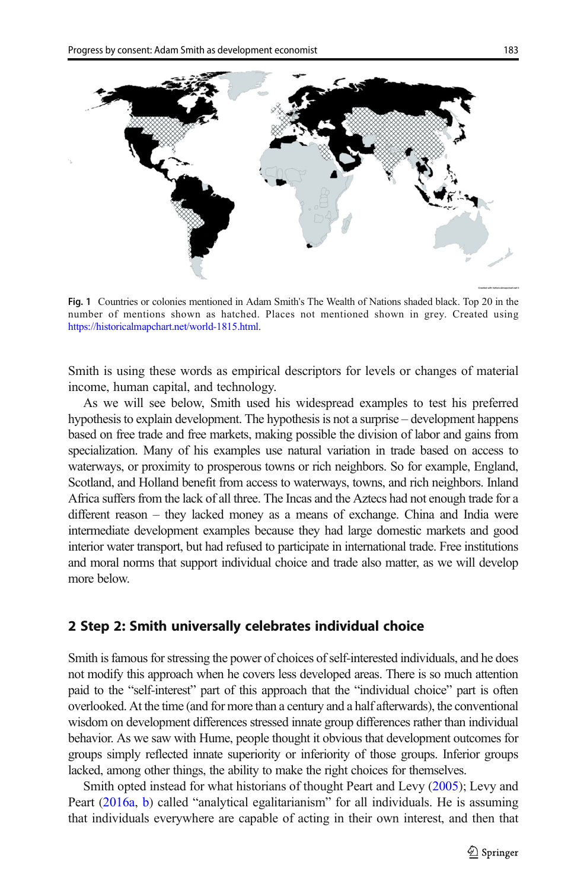<span id="page-4-0"></span>

Fig. 1 Countries or colonies mentioned in Adam Smith's The Wealth of Nations shaded black. Top 20 in the number of mentions shown as hatched. Places not mentioned shown in grey. Created using [https://historicalmapchart.net/world-1815.html.](https://historicalmapchart.net/world-1815.html)

Smith is using these words as empirical descriptors for levels or changes of material income, human capital, and technology.

As we will see below, Smith used his widespread examples to test his preferred hypothesis to explain development. The hypothesis is not a surprise – development happens based on free trade and free markets, making possible the division of labor and gains from specialization. Many of his examples use natural variation in trade based on access to waterways, or proximity to prosperous towns or rich neighbors. So for example, England, Scotland, and Holland benefit from access to waterways, towns, and rich neighbors. Inland Africa suffers from the lack of all three. The Incas and the Aztecs had not enough trade for a different reason – they lacked money as a means of exchange. China and India were intermediate development examples because they had large domestic markets and good interior water transport, but had refused to participate in international trade. Free institutions and moral norms that support individual choice and trade also matter, as we will develop more below.

#### 2 Step 2: Smith universally celebrates individual choice

Smith is famous for stressing the power of choices of self-interested individuals, and he does not modify this approach when he covers less developed areas. There is so much attention paid to the "self-interest" part of this approach that the "individual choice" part is often overlooked. At the time (and for more than a century and a half afterwards), the conventional wisdom on development differences stressed innate group differences rather than individual behavior. As we saw with Hume, people thought it obvious that development outcomes for groups simply reflected innate superiority or inferiority of those groups. Inferior groups lacked, among other things, the ability to make the right choices for themselves.

Smith opted instead for what historians of thought Peart and Levy ([2005](#page-22-0)); Levy and Peart [\(2016a](#page-22-0), [b\)](#page-22-0) called "analytical egalitarianism" for all individuals. He is assuming that individuals everywhere are capable of acting in their own interest, and then that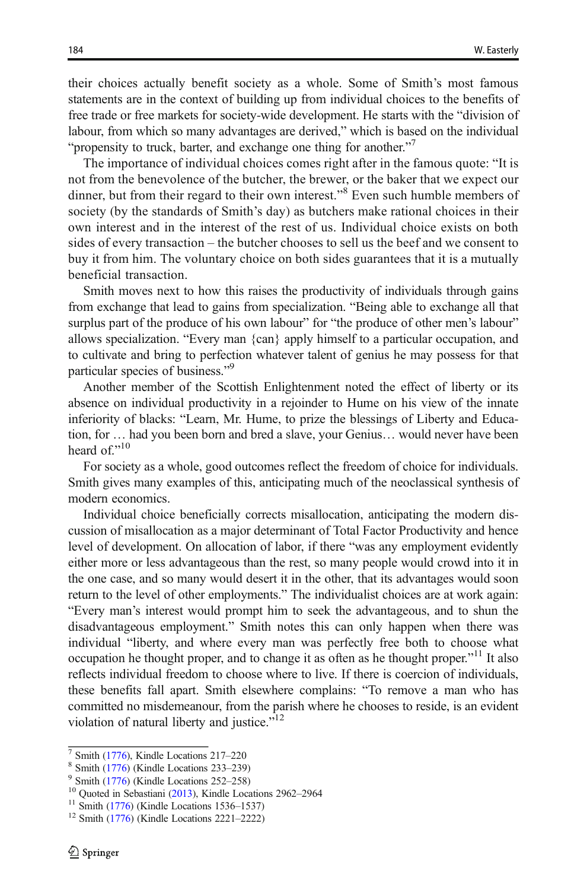their choices actually benefit society as a whole. Some of Smith's most famous statements are in the context of building up from individual choices to the benefits of free trade or free markets for society-wide development. He starts with the "division of labour, from which so many advantages are derived," which is based on the individual "propensity to truck, barter, and exchange one thing for another."<sup>7</sup>

The importance of individual choices comes right after in the famous quote: "It is not from the benevolence of the butcher, the brewer, or the baker that we expect our dinner, but from their regard to their own interest."<sup>8</sup> Even such humble members of society (by the standards of Smith's day) as butchers make rational choices in their own interest and in the interest of the rest of us. Individual choice exists on both sides of every transaction – the butcher chooses to sell us the beef and we consent to buy it from him. The voluntary choice on both sides guarantees that it is a mutually beneficial transaction.

Smith moves next to how this raises the productivity of individuals through gains from exchange that lead to gains from specialization. "Being able to exchange all that surplus part of the produce of his own labour" for "the produce of other men's labour" allows specialization. "Every man {can} apply himself to a particular occupation, and to cultivate and bring to perfection whatever talent of genius he may possess for that particular species of business."<sup>9</sup>

Another member of the Scottish Enlightenment noted the effect of liberty or its absence on individual productivity in a rejoinder to Hume on his view of the innate inferiority of blacks: "Learn, Mr. Hume, to prize the blessings of Liberty and Education, for … had you been born and bred a slave, your Genius… would never have been heard of."<sup>10</sup>

For society as a whole, good outcomes reflect the freedom of choice for individuals. Smith gives many examples of this, anticipating much of the neoclassical synthesis of modern economics.

Individual choice beneficially corrects misallocation, anticipating the modern discussion of misallocation as a major determinant of Total Factor Productivity and hence level of development. On allocation of labor, if there "was any employment evidently either more or less advantageous than the rest, so many people would crowd into it in the one case, and so many would desert it in the other, that its advantages would soon return to the level of other employments." The individualist choices are at work again: "Every man's interest would prompt him to seek the advantageous, and to shun the disadvantageous employment." Smith notes this can only happen when there was individual "liberty, and where every man was perfectly free both to choose what occupation he thought proper, and to change it as often as he thought proper."<sup>11</sup> It also reflects individual freedom to choose where to live. If there is coercion of individuals, these benefits fall apart. Smith elsewhere complains: "To remove a man who has committed no misdemeanour, from the parish where he chooses to reside, is an evident violation of natural liberty and justice."<sup>12</sup>

<sup>&</sup>lt;sup>7</sup> Smith [\(1776\)](#page-22-0), Kindle Locations 217–220<br>
<sup>8</sup> Smith (1776) (Kindle Locations 233–239)<br>
<sup>9</sup> Smith (1776) (Kindle Locations 252–258)<br>
<sup>10</sup> Quoted in Sebastiani ([2013](#page-22-0)), Kindle Locations 2962–2964<br>
<sup>11</sup> Smith (1776) (Kindle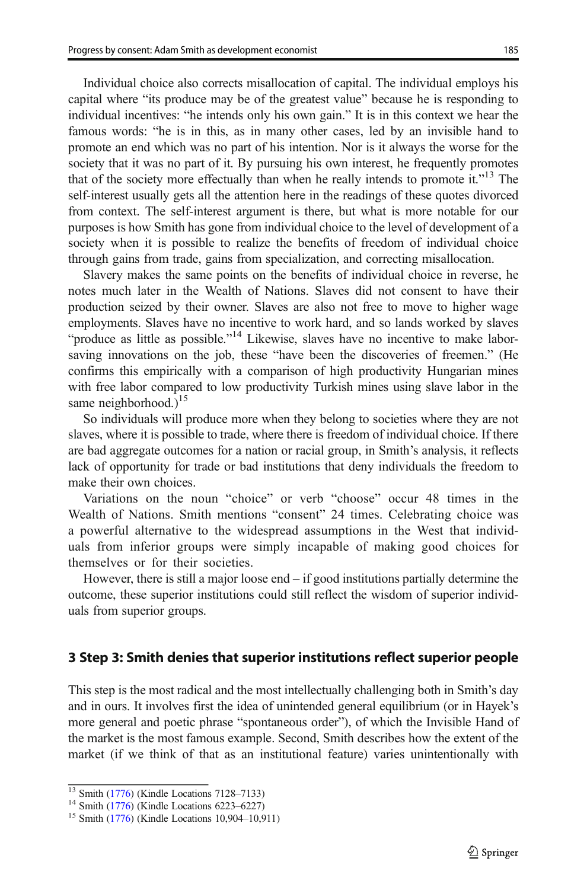Individual choice also corrects misallocation of capital. The individual employs his capital where "its produce may be of the greatest value" because he is responding to individual incentives: "he intends only his own gain." It is in this context we hear the famous words: "he is in this, as in many other cases, led by an invisible hand to promote an end which was no part of his intention. Nor is it always the worse for the society that it was no part of it. By pursuing his own interest, he frequently promotes that of the society more effectually than when he really intends to promote it."<sup>13</sup> The self-interest usually gets all the attention here in the readings of these quotes divorced from context. The self-interest argument is there, but what is more notable for our purposes is how Smith has gone from individual choice to the level of development of a society when it is possible to realize the benefits of freedom of individual choice through gains from trade, gains from specialization, and correcting misallocation.

Slavery makes the same points on the benefits of individual choice in reverse, he notes much later in the Wealth of Nations. Slaves did not consent to have their production seized by their owner. Slaves are also not free to move to higher wage employments. Slaves have no incentive to work hard, and so lands worked by slaves "produce as little as possible."<sup>14</sup> Likewise, slaves have no incentive to make laborsaving innovations on the job, these "have been the discoveries of freemen." (He confirms this empirically with a comparison of high productivity Hungarian mines with free labor compared to low productivity Turkish mines using slave labor in the same neighborhood.)<sup>15</sup>

So individuals will produce more when they belong to societies where they are not slaves, where it is possible to trade, where there is freedom of individual choice. If there are bad aggregate outcomes for a nation or racial group, in Smith's analysis, it reflects lack of opportunity for trade or bad institutions that deny individuals the freedom to make their own choices.

Variations on the noun "choice" or verb "choose" occur 48 times in the Wealth of Nations. Smith mentions "consent" 24 times. Celebrating choice was a powerful alternative to the widespread assumptions in the West that individuals from inferior groups were simply incapable of making good choices for themselves or for their societies.

However, there is still a major loose end  $-$  if good institutions partially determine the outcome, these superior institutions could still reflect the wisdom of superior individuals from superior groups.

#### 3 Step 3: Smith denies that superior institutions reflect superior people

This step is the most radical and the most intellectually challenging both in Smith's day and in ours. It involves first the idea of unintended general equilibrium (or in Hayek's more general and poetic phrase "spontaneous order"), of which the Invisible Hand of the market is the most famous example. Second, Smith describes how the extent of the market (if we think of that as an institutional feature) varies unintentionally with

 $13$  Smith [\(1776\)](#page-22-0) (Kindle Locations 7128–7133)<br>
<sup>14</sup> Smith (1776) (Kindle Locations 6223–6227)<br>
<sup>15</sup> Smith (1776) (Kindle Locations 10,904–10,911)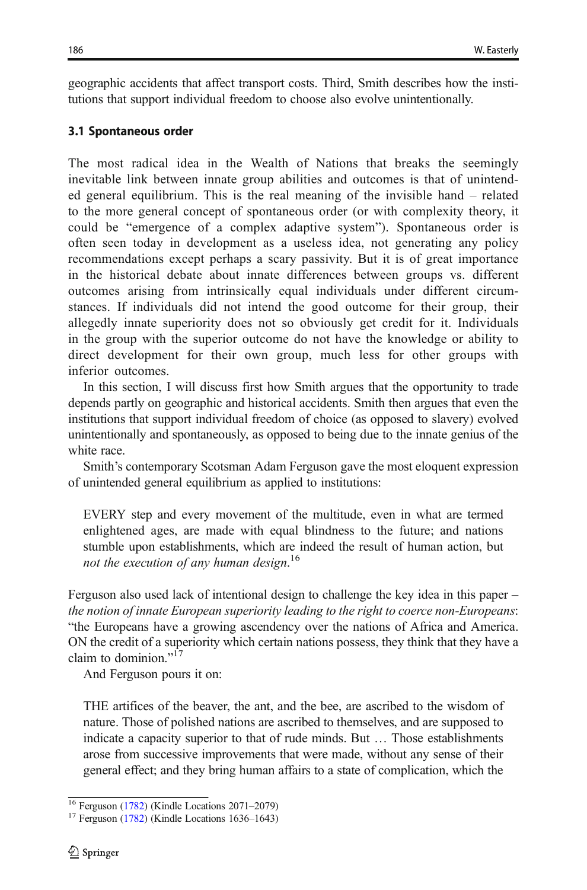geographic accidents that affect transport costs. Third, Smith describes how the institutions that support individual freedom to choose also evolve unintentionally.

### 3.1 Spontaneous order

The most radical idea in the Wealth of Nations that breaks the seemingly inevitable link between innate group abilities and outcomes is that of unintended general equilibrium. This is the real meaning of the invisible hand – related to the more general concept of spontaneous order (or with complexity theory, it could be "emergence of a complex adaptive system"). Spontaneous order is often seen today in development as a useless idea, not generating any policy recommendations except perhaps a scary passivity. But it is of great importance in the historical debate about innate differences between groups vs. different outcomes arising from intrinsically equal individuals under different circumstances. If individuals did not intend the good outcome for their group, their allegedly innate superiority does not so obviously get credit for it. Individuals in the group with the superior outcome do not have the knowledge or ability to direct development for their own group, much less for other groups with inferior outcomes.

In this section, I will discuss first how Smith argues that the opportunity to trade depends partly on geographic and historical accidents. Smith then argues that even the institutions that support individual freedom of choice (as opposed to slavery) evolved unintentionally and spontaneously, as opposed to being due to the innate genius of the white race.

Smith's contemporary Scotsman Adam Ferguson gave the most eloquent expression of unintended general equilibrium as applied to institutions:

EVERY step and every movement of the multitude, even in what are termed enlightened ages, are made with equal blindness to the future; and nations stumble upon establishments, which are indeed the result of human action, but not the execution of any human design.<sup>16</sup>

Ferguson also used lack of intentional design to challenge the key idea in this paper – the notion of innate European superiority leading to the right to coerce non-Europeans: "the Europeans have a growing ascendency over the nations of Africa and America. ON the credit of a superiority which certain nations possess, they think that they have a claim to dominion."<sup>17</sup>

And Ferguson pours it on:

THE artifices of the beaver, the ant, and the bee, are ascribed to the wisdom of nature. Those of polished nations are ascribed to themselves, and are supposed to indicate a capacity superior to that of rude minds. But … Those establishments arose from successive improvements that were made, without any sense of their general effect; and they bring human affairs to a state of complication, which the

<sup>&</sup>lt;sup>16</sup> Ferguson ([1782](#page-22-0)) (Kindle Locations 2071–2079)<sup>17</sup> Ferguson (1782) (Kindle Locations 1636–1643)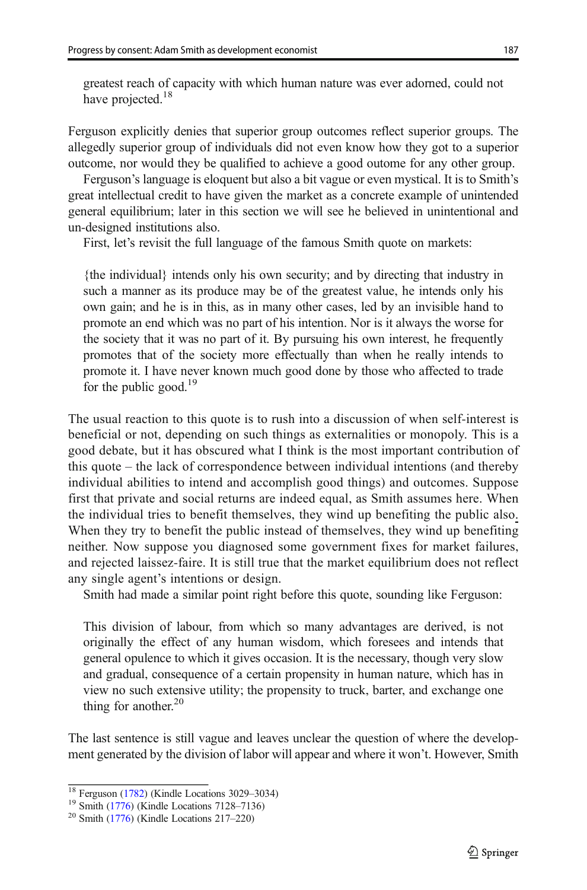greatest reach of capacity with which human nature was ever adorned, could not have projected.<sup>18</sup>

Ferguson explicitly denies that superior group outcomes reflect superior groups. The allegedly superior group of individuals did not even know how they got to a superior outcome, nor would they be qualified to achieve a good outome for any other group.

Ferguson's language is eloquent but also a bit vague or even mystical. It is to Smith's great intellectual credit to have given the market as a concrete example of unintended general equilibrium; later in this section we will see he believed in unintentional and un-designed institutions also.

First, let's revisit the full language of the famous Smith quote on markets:

{the individual} intends only his own security; and by directing that industry in such a manner as its produce may be of the greatest value, he intends only his own gain; and he is in this, as in many other cases, led by an invisible hand to promote an end which was no part of his intention. Nor is it always the worse for the society that it was no part of it. By pursuing his own interest, he frequently promotes that of the society more effectually than when he really intends to promote it. I have never known much good done by those who affected to trade for the public good.<sup>19</sup>

The usual reaction to this quote is to rush into a discussion of when self-interest is beneficial or not, depending on such things as externalities or monopoly. This is a good debate, but it has obscured what I think is the most important contribution of this quote – the lack of correspondence between individual intentions (and thereby individual abilities to intend and accomplish good things) and outcomes. Suppose first that private and social returns are indeed equal, as Smith assumes here. When the individual tries to benefit themselves, they wind up benefiting the public also. When they try to benefit the public instead of themselves, they wind up benefiting neither. Now suppose you diagnosed some government fixes for market failures, and rejected laissez-faire. It is still true that the market equilibrium does not reflect any single agent's intentions or design.

Smith had made a similar point right before this quote, sounding like Ferguson:

This division of labour, from which so many advantages are derived, is not originally the effect of any human wisdom, which foresees and intends that general opulence to which it gives occasion. It is the necessary, though very slow and gradual, consequence of a certain propensity in human nature, which has in view no such extensive utility; the propensity to truck, barter, and exchange one thing for another. $20$ 

The last sentence is still vague and leaves unclear the question of where the development generated by the division of labor will appear and where it won't. However, Smith

<sup>&</sup>lt;sup>18</sup> Ferguson ([1782](#page-22-0)) (Kindle Locations 3029–3034)<sup>19</sup> Smith [\(1776\)](#page-22-0) (Kindle Locations 7128–7136)<sup>20</sup> Smith (1776) (Kindle Locations 217–220)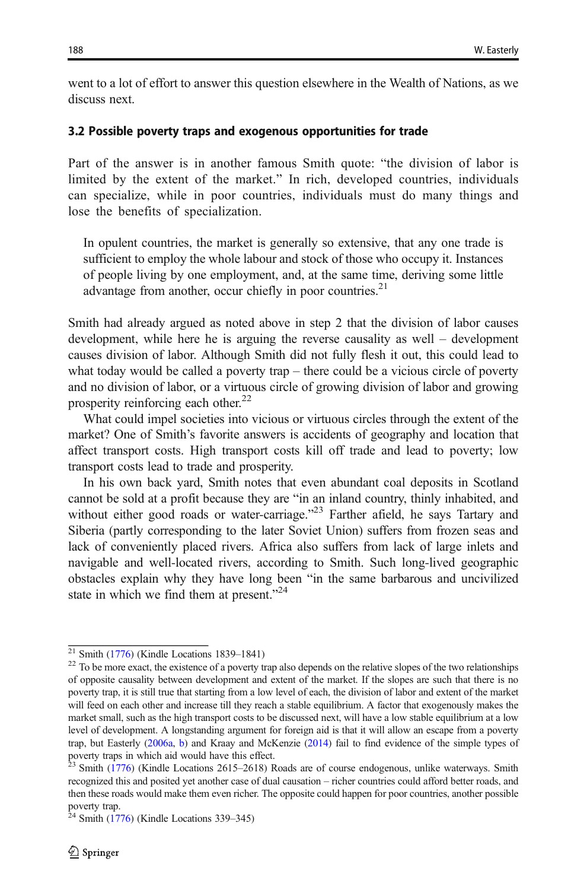went to a lot of effort to answer this question elsewhere in the Wealth of Nations, as we discuss next.

#### 3.2 Possible poverty traps and exogenous opportunities for trade

Part of the answer is in another famous Smith quote: "the division of labor is limited by the extent of the market." In rich, developed countries, individuals can specialize, while in poor countries, individuals must do many things and lose the benefits of specialization.

In opulent countries, the market is generally so extensive, that any one trade is sufficient to employ the whole labour and stock of those who occupy it. Instances of people living by one employment, and, at the same time, deriving some little advantage from another, occur chiefly in poor countries.<sup>21</sup>

Smith had already argued as noted above in step 2 that the division of labor causes development, while here he is arguing the reverse causality as well – development causes division of labor. Although Smith did not fully flesh it out, this could lead to what today would be called a poverty trap – there could be a vicious circle of poverty and no division of labor, or a virtuous circle of growing division of labor and growing prosperity reinforcing each other.<sup>22</sup>

What could impel societies into vicious or virtuous circles through the extent of the market? One of Smith's favorite answers is accidents of geography and location that affect transport costs. High transport costs kill off trade and lead to poverty; low transport costs lead to trade and prosperity.

In his own back yard, Smith notes that even abundant coal deposits in Scotland cannot be sold at a profit because they are "in an inland country, thinly inhabited, and without either good roads or water-carriage."<sup>23</sup> Farther afield, he says Tartary and Siberia (partly corresponding to the later Soviet Union) suffers from frozen seas and lack of conveniently placed rivers. Africa also suffers from lack of large inlets and navigable and well-located rivers, according to Smith. Such long-lived geographic obstacles explain why they have long been "in the same barbarous and uncivilized state in which we find them at present."<sup>24</sup>

<sup>&</sup>lt;sup>21</sup> Smith [\(1776\)](#page-22-0) (Kindle Locations 1839–1841) <sup>22</sup> To be more exact, the existence of a poverty trap also depends on the relative slopes of the two relationships of opposite causality between development and extent of the market. If the slopes are such that there is no poverty trap, it is still true that starting from a low level of each, the division of labor and extent of the market will feed on each other and increase till they reach a stable equilibrium. A factor that exogenously makes the market small, such as the high transport costs to be discussed next, will have a low stable equilibrium at a low level of development. A longstanding argument for foreign aid is that it will allow an escape from a poverty trap, but Easterly [\(2006a](#page-21-0), [b](#page-21-0)) and Kraay and McKenzie [\(2014\)](#page-22-0) fail to find evidence of the simple types of

poverty traps in which aid would have this effect. <sup>23</sup> Smith ([1776](#page-22-0)) (Kindle Locations 2615–2618) Roads are of course endogenous, unlike waterways. Smith recognized this and posited yet another case of dual causation – richer countries could afford better roads, and then these roads would make them even richer. The opposite could happen for poor countries, another possible

poverty trap. <sup>24</sup> Smith [\(1776\)](#page-22-0) (Kindle Locations 339–345)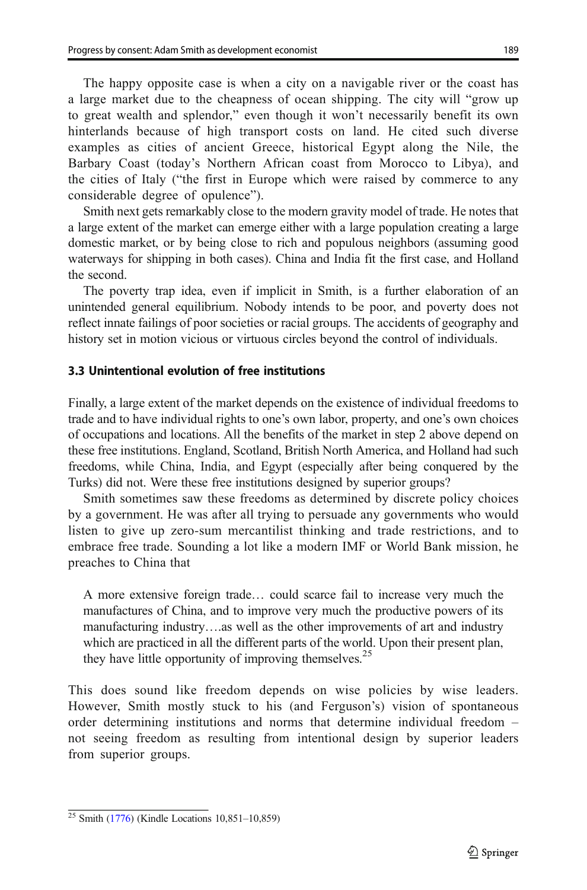The happy opposite case is when a city on a navigable river or the coast has a large market due to the cheapness of ocean shipping. The city will "grow up to great wealth and splendor," even though it won't necessarily benefit its own hinterlands because of high transport costs on land. He cited such diverse examples as cities of ancient Greece, historical Egypt along the Nile, the Barbary Coast (today's Northern African coast from Morocco to Libya), and the cities of Italy ("the first in Europe which were raised by commerce to any considerable degree of opulence").

Smith next gets remarkably close to the modern gravity model of trade. He notes that a large extent of the market can emerge either with a large population creating a large domestic market, or by being close to rich and populous neighbors (assuming good waterways for shipping in both cases). China and India fit the first case, and Holland the second.

The poverty trap idea, even if implicit in Smith, is a further elaboration of an unintended general equilibrium. Nobody intends to be poor, and poverty does not reflect innate failings of poor societies or racial groups. The accidents of geography and history set in motion vicious or virtuous circles beyond the control of individuals.

#### 3.3 Unintentional evolution of free institutions

Finally, a large extent of the market depends on the existence of individual freedoms to trade and to have individual rights to one's own labor, property, and one's own choices of occupations and locations. All the benefits of the market in step 2 above depend on these free institutions. England, Scotland, British North America, and Holland had such freedoms, while China, India, and Egypt (especially after being conquered by the Turks) did not. Were these free institutions designed by superior groups?

Smith sometimes saw these freedoms as determined by discrete policy choices by a government. He was after all trying to persuade any governments who would listen to give up zero-sum mercantilist thinking and trade restrictions, and to embrace free trade. Sounding a lot like a modern IMF or World Bank mission, he preaches to China that

A more extensive foreign trade… could scarce fail to increase very much the manufactures of China, and to improve very much the productive powers of its manufacturing industry….as well as the other improvements of art and industry which are practiced in all the different parts of the world. Upon their present plan, they have little opportunity of improving themselves.<sup>25</sup>

This does sound like freedom depends on wise policies by wise leaders. However, Smith mostly stuck to his (and Ferguson's) vision of spontaneous order determining institutions and norms that determine individual freedom – not seeing freedom as resulting from intentional design by superior leaders from superior groups.

<sup>25</sup> Smith [\(1776\)](#page-22-0) (Kindle Locations 10,851–10,859)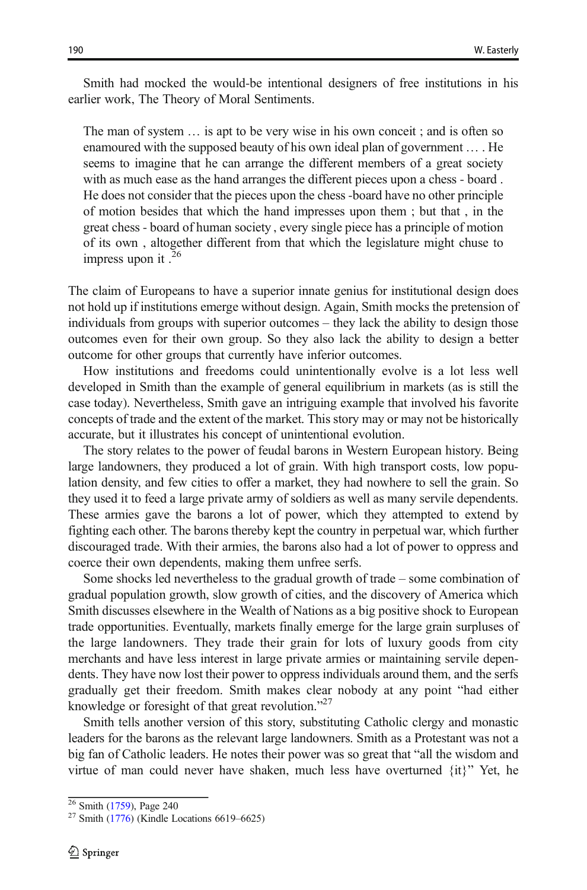Smith had mocked the would-be intentional designers of free institutions in his earlier work, The Theory of Moral Sentiments.

The man of system … is apt to be very wise in his own conceit ; and is often so enamoured with the supposed beauty of his own ideal plan of government … . He seems to imagine that he can arrange the different members of a great society with as much ease as the hand arranges the different pieces upon a chess - board . He does not consider that the pieces upon the chess -board have no other principle of motion besides that which the hand impresses upon them ; but that , in the great chess - board of human society , every single piece has a principle of motion of its own , altogether different from that which the legislature might chuse to impress upon it .<sup>26</sup>

The claim of Europeans to have a superior innate genius for institutional design does not hold up if institutions emerge without design. Again, Smith mocks the pretension of individuals from groups with superior outcomes – they lack the ability to design those outcomes even for their own group. So they also lack the ability to design a better outcome for other groups that currently have inferior outcomes.

How institutions and freedoms could unintentionally evolve is a lot less well developed in Smith than the example of general equilibrium in markets (as is still the case today). Nevertheless, Smith gave an intriguing example that involved his favorite concepts of trade and the extent of the market. This story may or may not be historically accurate, but it illustrates his concept of unintentional evolution.

The story relates to the power of feudal barons in Western European history. Being large landowners, they produced a lot of grain. With high transport costs, low population density, and few cities to offer a market, they had nowhere to sell the grain. So they used it to feed a large private army of soldiers as well as many servile dependents. These armies gave the barons a lot of power, which they attempted to extend by fighting each other. The barons thereby kept the country in perpetual war, which further discouraged trade. With their armies, the barons also had a lot of power to oppress and coerce their own dependents, making them unfree serfs.

Some shocks led nevertheless to the gradual growth of trade – some combination of gradual population growth, slow growth of cities, and the discovery of America which Smith discusses elsewhere in the Wealth of Nations as a big positive shock to European trade opportunities. Eventually, markets finally emerge for the large grain surpluses of the large landowners. They trade their grain for lots of luxury goods from city merchants and have less interest in large private armies or maintaining servile dependents. They have now lost their power to oppress individuals around them, and the serfs gradually get their freedom. Smith makes clear nobody at any point "had either knowledge or foresight of that great revolution."<sup>27</sup>

Smith tells another version of this story, substituting Catholic clergy and monastic leaders for the barons as the relevant large landowners. Smith as a Protestant was not a big fan of Catholic leaders. He notes their power was so great that "all the wisdom and virtue of man could never have shaken, much less have overturned {it}" Yet, he

 $\frac{26}{27}$  Smith [\(1759\)](#page-22-0), Page 240<br> $\frac{27}{27}$  Smith [\(1776\)](#page-22-0) (Kindle Locations 6619–6625)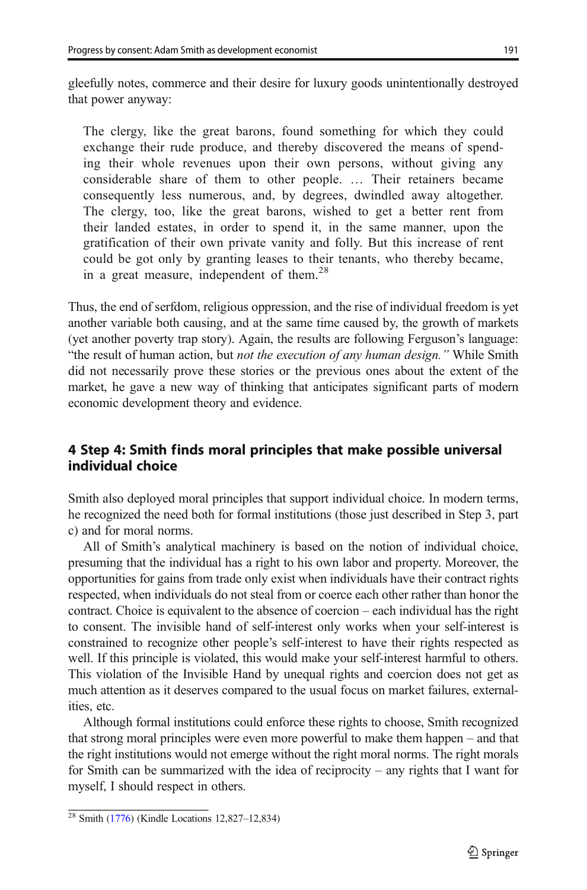gleefully notes, commerce and their desire for luxury goods unintentionally destroyed that power anyway:

The clergy, like the great barons, found something for which they could exchange their rude produce, and thereby discovered the means of spending their whole revenues upon their own persons, without giving any considerable share of them to other people. … Their retainers became consequently less numerous, and, by degrees, dwindled away altogether. The clergy, too, like the great barons, wished to get a better rent from their landed estates, in order to spend it, in the same manner, upon the gratification of their own private vanity and folly. But this increase of rent could be got only by granting leases to their tenants, who thereby became, in a great measure, independent of them.<sup>28</sup>

Thus, the end of serfdom, religious oppression, and the rise of individual freedom is yet another variable both causing, and at the same time caused by, the growth of markets (yet another poverty trap story). Again, the results are following Ferguson's language: "the result of human action, but not the execution of any human design." While Smith did not necessarily prove these stories or the previous ones about the extent of the market, he gave a new way of thinking that anticipates significant parts of modern economic development theory and evidence.

# 4 Step 4: Smith finds moral principles that make possible universal individual choice

Smith also deployed moral principles that support individual choice. In modern terms, he recognized the need both for formal institutions (those just described in Step 3, part c) and for moral norms.

All of Smith's analytical machinery is based on the notion of individual choice, presuming that the individual has a right to his own labor and property. Moreover, the opportunities for gains from trade only exist when individuals have their contract rights respected, when individuals do not steal from or coerce each other rather than honor the contract. Choice is equivalent to the absence of coercion – each individual has the right to consent. The invisible hand of self-interest only works when your self-interest is constrained to recognize other people's self-interest to have their rights respected as well. If this principle is violated, this would make your self-interest harmful to others. This violation of the Invisible Hand by unequal rights and coercion does not get as much attention as it deserves compared to the usual focus on market failures, externalities, etc.

Although formal institutions could enforce these rights to choose, Smith recognized that strong moral principles were even more powerful to make them happen – and that the right institutions would not emerge without the right moral norms. The right morals for Smith can be summarized with the idea of reciprocity – any rights that I want for myself, I should respect in others.

<sup>28</sup> Smith [\(1776\)](#page-22-0) (Kindle Locations 12,827–12,834)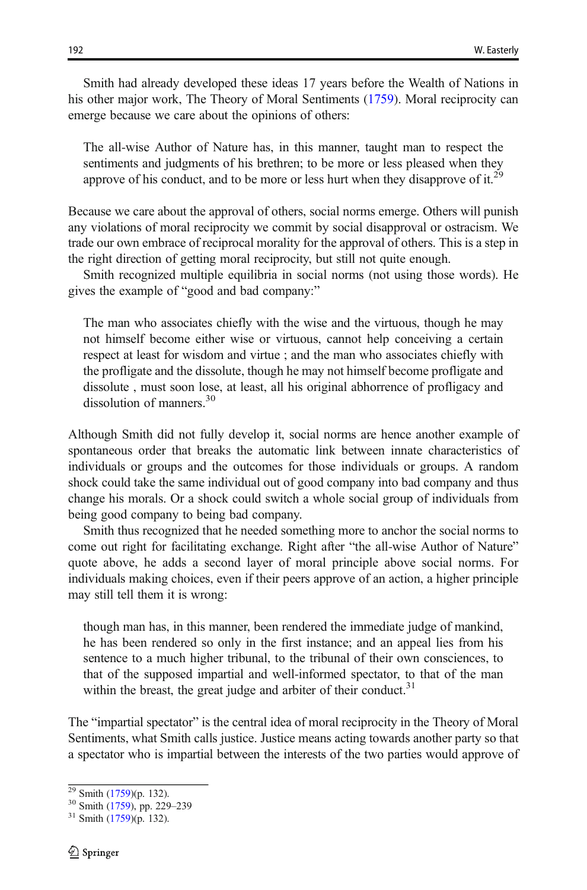Smith had already developed these ideas 17 years before the Wealth of Nations in his other major work, The Theory of Moral Sentiments [\(1759\)](#page-22-0). Moral reciprocity can emerge because we care about the opinions of others:

The all-wise Author of Nature has, in this manner, taught man to respect the sentiments and judgments of his brethren; to be more or less pleased when they approve of his conduct, and to be more or less hurt when they disapprove of it.<sup>29</sup>

Because we care about the approval of others, social norms emerge. Others will punish any violations of moral reciprocity we commit by social disapproval or ostracism. We trade our own embrace of reciprocal morality for the approval of others. This is a step in the right direction of getting moral reciprocity, but still not quite enough.

Smith recognized multiple equilibria in social norms (not using those words). He gives the example of "good and bad company:"

The man who associates chiefly with the wise and the virtuous, though he may not himself become either wise or virtuous, cannot help conceiving a certain respect at least for wisdom and virtue ; and the man who associates chiefly with the profligate and the dissolute, though he may not himself become profligate and dissolute , must soon lose, at least, all his original abhorrence of profligacy and dissolution of manners.<sup>30</sup>

Although Smith did not fully develop it, social norms are hence another example of spontaneous order that breaks the automatic link between innate characteristics of individuals or groups and the outcomes for those individuals or groups. A random shock could take the same individual out of good company into bad company and thus change his morals. Or a shock could switch a whole social group of individuals from being good company to being bad company.

Smith thus recognized that he needed something more to anchor the social norms to come out right for facilitating exchange. Right after "the all-wise Author of Nature" quote above, he adds a second layer of moral principle above social norms. For individuals making choices, even if their peers approve of an action, a higher principle may still tell them it is wrong:

though man has, in this manner, been rendered the immediate judge of mankind, he has been rendered so only in the first instance; and an appeal lies from his sentence to a much higher tribunal, to the tribunal of their own consciences, to that of the supposed impartial and well-informed spectator, to that of the man within the breast, the great judge and arbiter of their conduct.<sup>31</sup>

The "impartial spectator" is the central idea of moral reciprocity in the Theory of Moral Sentiments, what Smith calls justice. Justice means acting towards another party so that a spectator who is impartial between the interests of the two parties would approve of

 $\frac{29}{30}$  Smith [\(1759\)](#page-22-0)(p. 132).<br><sup>30</sup> Smith (1759), pp. 229–239<br><sup>31</sup> Smith (1759)(p. 132).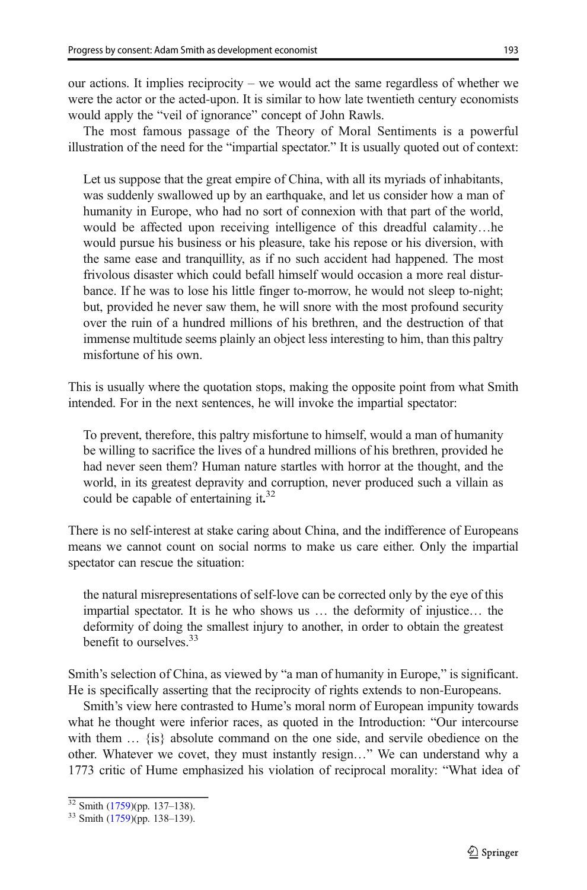our actions. It implies reciprocity – we would act the same regardless of whether we were the actor or the acted-upon. It is similar to how late twentieth century economists would apply the "veil of ignorance" concept of John Rawls.

The most famous passage of the Theory of Moral Sentiments is a powerful illustration of the need for the "impartial spectator." It is usually quoted out of context:

Let us suppose that the great empire of China, with all its myriads of inhabitants, was suddenly swallowed up by an earthquake, and let us consider how a man of humanity in Europe, who had no sort of connexion with that part of the world, would be affected upon receiving intelligence of this dreadful calamity…he would pursue his business or his pleasure, take his repose or his diversion, with the same ease and tranquillity, as if no such accident had happened. The most frivolous disaster which could befall himself would occasion a more real disturbance. If he was to lose his little finger to-morrow, he would not sleep to-night; but, provided he never saw them, he will snore with the most profound security over the ruin of a hundred millions of his brethren, and the destruction of that immense multitude seems plainly an object less interesting to him, than this paltry misfortune of his own.

This is usually where the quotation stops, making the opposite point from what Smith intended. For in the next sentences, he will invoke the impartial spectator:

To prevent, therefore, this paltry misfortune to himself, would a man of humanity be willing to sacrifice the lives of a hundred millions of his brethren, provided he had never seen them? Human nature startles with horror at the thought, and the world, in its greatest depravity and corruption, never produced such a villain as could be capable of entertaining it.<sup>32</sup>

There is no self-interest at stake caring about China, and the indifference of Europeans means we cannot count on social norms to make us care either. Only the impartial spectator can rescue the situation:

the natural misrepresentations of self-love can be corrected only by the eye of this impartial spectator. It is he who shows us … the deformity of injustice… the deformity of doing the smallest injury to another, in order to obtain the greatest benefit to ourselves.<sup>33</sup>

Smith's selection of China, as viewed by "a man of humanity in Europe," is significant. He is specifically asserting that the reciprocity of rights extends to non-Europeans.

Smith's view here contrasted to Hume's moral norm of European impunity towards what he thought were inferior races, as quoted in the Introduction: "Our intercourse with them  $\ldots$  {is} absolute command on the one side, and servile obedience on the other. Whatever we covet, they must instantly resign…" We can understand why a 1773 critic of Hume emphasized his violation of reciprocal morality: "What idea of

 $\frac{32}{33}$  Smith [\(1759\)](#page-22-0)(pp. 137–138).<br> $\frac{33}{33}$  Smith (1759)(pp. 138–139).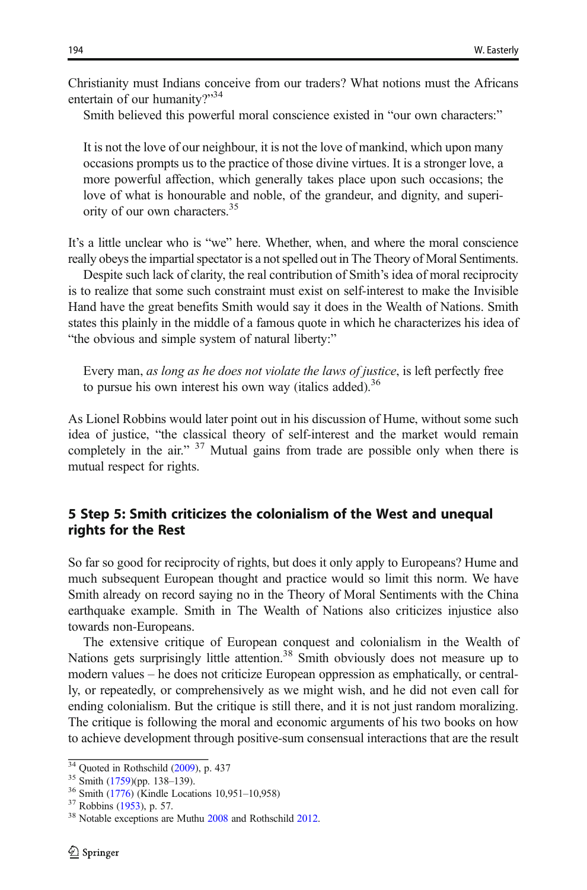Christianity must Indians conceive from our traders? What notions must the Africans entertain of our humanity?"<sup>34</sup>

Smith believed this powerful moral conscience existed in "our own characters:"

It is not the love of our neighbour, it is not the love of mankind, which upon many occasions prompts us to the practice of those divine virtues. It is a stronger love, a more powerful affection, which generally takes place upon such occasions; the love of what is honourable and noble, of the grandeur, and dignity, and superiority of our own characters.35

It's a little unclear who is "we" here. Whether, when, and where the moral conscience really obeys the impartial spectator is a not spelled out in The Theory of Moral Sentiments.

Despite such lack of clarity, the real contribution of Smith's idea of moral reciprocity is to realize that some such constraint must exist on self-interest to make the Invisible Hand have the great benefits Smith would say it does in the Wealth of Nations. Smith states this plainly in the middle of a famous quote in which he characterizes his idea of "the obvious and simple system of natural liberty:"

Every man, as long as he does not violate the laws of justice, is left perfectly free to pursue his own interest his own way (italics added).<sup>36</sup>

As Lionel Robbins would later point out in his discussion of Hume, without some such idea of justice, "the classical theory of self-interest and the market would remain completely in the air."  $37$  Mutual gains from trade are possible only when there is mutual respect for rights.

# 5 Step 5: Smith criticizes the colonialism of the West and unequal rights for the Rest

So far so good for reciprocity of rights, but does it only apply to Europeans? Hume and much subsequent European thought and practice would so limit this norm. We have Smith already on record saying no in the Theory of Moral Sentiments with the China earthquake example. Smith in The Wealth of Nations also criticizes injustice also towards non-Europeans.

The extensive critique of European conquest and colonialism in the Wealth of Nations gets surprisingly little attention.<sup>38</sup> Smith obviously does not measure up to modern values – he does not criticize European oppression as emphatically, or centrally, or repeatedly, or comprehensively as we might wish, and he did not even call for ending colonialism. But the critique is still there, and it is not just random moralizing. The critique is following the moral and economic arguments of his two books on how to achieve development through positive-sum consensual interactions that are the result

<sup>&</sup>lt;sup>34</sup> Quoted in Rothschild ([2009](#page-22-0)), p. 437<br><sup>35</sup> Smith [\(1759\)](#page-22-0)(pp. 138–139).<br><sup>36</sup> Smith [\(1776\)](#page-22-0) (Kindle Locations 10,951–10,958)<br><sup>37</sup> Robbins ([1953](#page-22-0)), p. 57.<br><sup>38</sup> Notable exceptions are Muthu [2008](#page-22-0) and Rothschild [2012.](#page-22-0)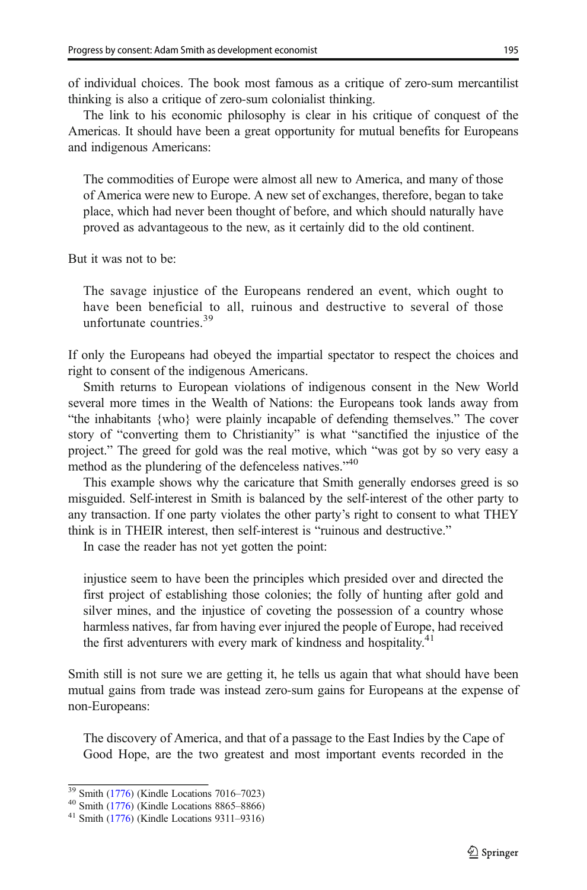of individual choices. The book most famous as a critique of zero-sum mercantilist thinking is also a critique of zero-sum colonialist thinking.

The link to his economic philosophy is clear in his critique of conquest of the Americas. It should have been a great opportunity for mutual benefits for Europeans and indigenous Americans:

The commodities of Europe were almost all new to America, and many of those of America were new to Europe. A new set of exchanges, therefore, began to take place, which had never been thought of before, and which should naturally have proved as advantageous to the new, as it certainly did to the old continent.

But it was not to be:

The savage injustice of the Europeans rendered an event, which ought to have been beneficial to all, ruinous and destructive to several of those unfortunate countries.<sup>39</sup>

If only the Europeans had obeyed the impartial spectator to respect the choices and right to consent of the indigenous Americans.

Smith returns to European violations of indigenous consent in the New World several more times in the Wealth of Nations: the Europeans took lands away from "the inhabitants {who} were plainly incapable of defending themselves." The cover story of "converting them to Christianity" is what "sanctified the injustice of the project." The greed for gold was the real motive, which "was got by so very easy a method as the plundering of the defenceless natives."<sup>40</sup>

This example shows why the caricature that Smith generally endorses greed is so misguided. Self-interest in Smith is balanced by the self-interest of the other party to any transaction. If one party violates the other party's right to consent to what THEY think is in THEIR interest, then self-interest is "ruinous and destructive."

In case the reader has not yet gotten the point:

injustice seem to have been the principles which presided over and directed the first project of establishing those colonies; the folly of hunting after gold and silver mines, and the injustice of coveting the possession of a country whose harmless natives, far from having ever injured the people of Europe, had received the first adventurers with every mark of kindness and hospitality.<sup>41</sup>

Smith still is not sure we are getting it, he tells us again that what should have been mutual gains from trade was instead zero-sum gains for Europeans at the expense of non-Europeans:

The discovery of America, and that of a passage to the East Indies by the Cape of Good Hope, are the two greatest and most important events recorded in the

 $\frac{39}{49}$  Smith [\(1776\)](#page-22-0) (Kindle Locations 7016–7023)<br>  $\frac{40}{41}$  Smith (1776) (Kindle Locations 8865–8866)<br>  $\frac{41}{41}$  Smith (1776) (Kindle Locations 9311–9316)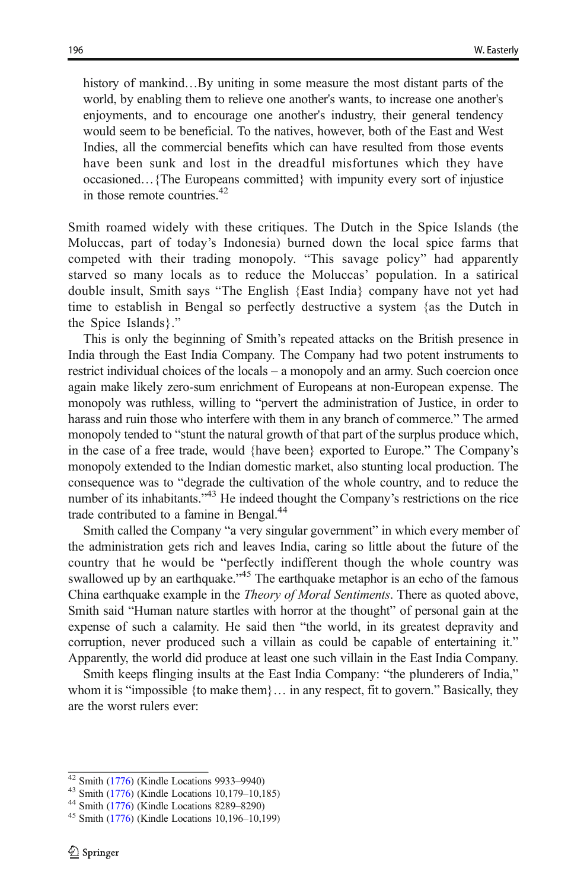history of mankind…By uniting in some measure the most distant parts of the world, by enabling them to relieve one another's wants, to increase one another's enjoyments, and to encourage one another's industry, their general tendency would seem to be beneficial. To the natives, however, both of the East and West Indies, all the commercial benefits which can have resulted from those events have been sunk and lost in the dreadful misfortunes which they have occasioned…{The Europeans committed} with impunity every sort of injustice in those remote countries.<sup>42</sup>

Smith roamed widely with these critiques. The Dutch in the Spice Islands (the Moluccas, part of today's Indonesia) burned down the local spice farms that competed with their trading monopoly. "This savage policy" had apparently starved so many locals as to reduce the Moluccas' population. In a satirical double insult, Smith says "The English {East India} company have not yet had time to establish in Bengal so perfectly destructive a system {as the Dutch in the Spice Islands}."

This is only the beginning of Smith's repeated attacks on the British presence in India through the East India Company. The Company had two potent instruments to restrict individual choices of the locals – a monopoly and an army. Such coercion once again make likely zero-sum enrichment of Europeans at non-European expense. The monopoly was ruthless, willing to "pervert the administration of Justice, in order to harass and ruin those who interfere with them in any branch of commerce." The armed monopoly tended to "stunt the natural growth of that part of the surplus produce which, in the case of a free trade, would {have been} exported to Europe." The Company's monopoly extended to the Indian domestic market, also stunting local production. The consequence was to "degrade the cultivation of the whole country, and to reduce the number of its inhabitants."<sup>43</sup> He indeed thought the Company's restrictions on the rice trade contributed to a famine in Bengal.<sup>44</sup>

Smith called the Company "a very singular government" in which every member of the administration gets rich and leaves India, caring so little about the future of the country that he would be "perfectly indifferent though the whole country was swallowed up by an earthquake."<sup>45</sup> The earthquake metaphor is an echo of the famous China earthquake example in the Theory of Moral Sentiments. There as quoted above, Smith said "Human nature startles with horror at the thought" of personal gain at the expense of such a calamity. He said then "the world, in its greatest depravity and corruption, never produced such a villain as could be capable of entertaining it." Apparently, the world did produce at least one such villain in the East India Company.

Smith keeps flinging insults at the East India Company: "the plunderers of India," whom it is "impossible {to make them}... in any respect, fit to govern." Basically, they are the worst rulers ever:

<sup>42</sup> Smith [\(1776\)](#page-22-0) (Kindle Locations 9933–9940)<br><sup>43</sup> Smith (1776) (Kindle Locations 10,179–10,185)<br><sup>44</sup> Smith (1776) (Kindle Locations 8289–8290)<br><sup>45</sup> Smith (1776) (Kindle Locations 10,196–10,199)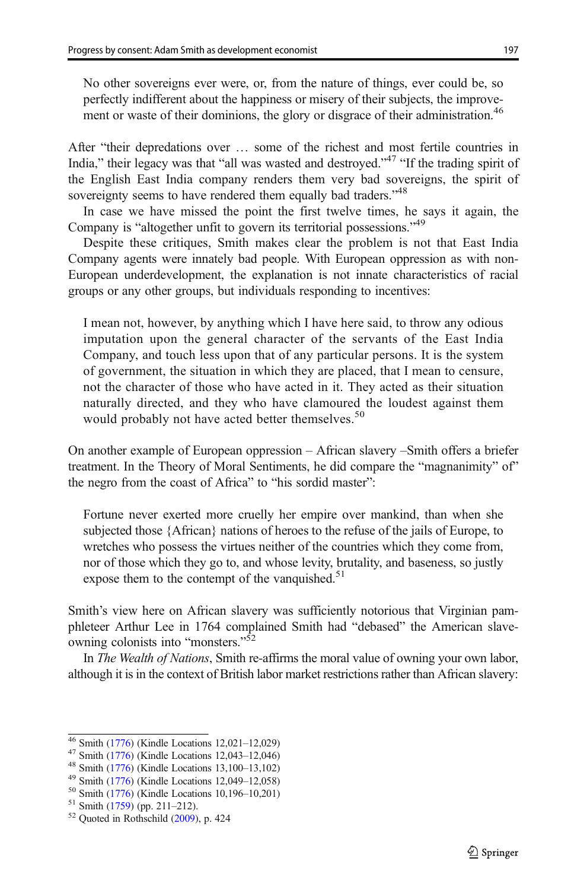No other sovereigns ever were, or, from the nature of things, ever could be, so perfectly indifferent about the happiness or misery of their subjects, the improvement or waste of their dominions, the glory or disgrace of their administration.<sup>46</sup>

After "their depredations over … some of the richest and most fertile countries in India," their legacy was that "all was wasted and destroyed."<sup>47</sup> "If the trading spirit of the English East India company renders them very bad sovereigns, the spirit of sovereignty seems to have rendered them equally bad traders."<sup>48</sup>

In case we have missed the point the first twelve times, he says it again, the Company is "altogether unfit to govern its territorial possessions."<sup>49</sup>

Despite these critiques, Smith makes clear the problem is not that East India Company agents were innately bad people. With European oppression as with non-European underdevelopment, the explanation is not innate characteristics of racial groups or any other groups, but individuals responding to incentives:

I mean not, however, by anything which I have here said, to throw any odious imputation upon the general character of the servants of the East India Company, and touch less upon that of any particular persons. It is the system of government, the situation in which they are placed, that I mean to censure, not the character of those who have acted in it. They acted as their situation naturally directed, and they who have clamoured the loudest against them would probably not have acted better themselves.<sup>50</sup>

On another example of European oppression – African slavery –Smith offers a briefer treatment. In the Theory of Moral Sentiments, he did compare the "magnanimity" of" the negro from the coast of Africa" to "his sordid master":

Fortune never exerted more cruelly her empire over mankind, than when she subjected those {African} nations of heroes to the refuse of the jails of Europe, to wretches who possess the virtues neither of the countries which they come from, nor of those which they go to, and whose levity, brutality, and baseness, so justly expose them to the contempt of the vanguished. $51$ 

Smith's view here on African slavery was sufficiently notorious that Virginian pamphleteer Arthur Lee in 1764 complained Smith had "debased" the American slaveowning colonists into "monsters."<sup>52</sup>

In The Wealth of Nations, Smith re-affirms the moral value of owning your own labor, although it is in the context of British labor market restrictions rather than African slavery:

<sup>&</sup>lt;sup>46</sup> Smith [\(1776\)](#page-22-0) (Kindle Locations 12,021–12,029)<br><sup>47</sup> Smith (1776) (Kindle Locations 12,043–12,046)<br><sup>48</sup> Smith (1776) (Kindle Locations 13,100–13,102)<br><sup>49</sup> Smith (1776) (Kindle Locations 12,049–12,058)<br><sup>50</sup> Smith (1776)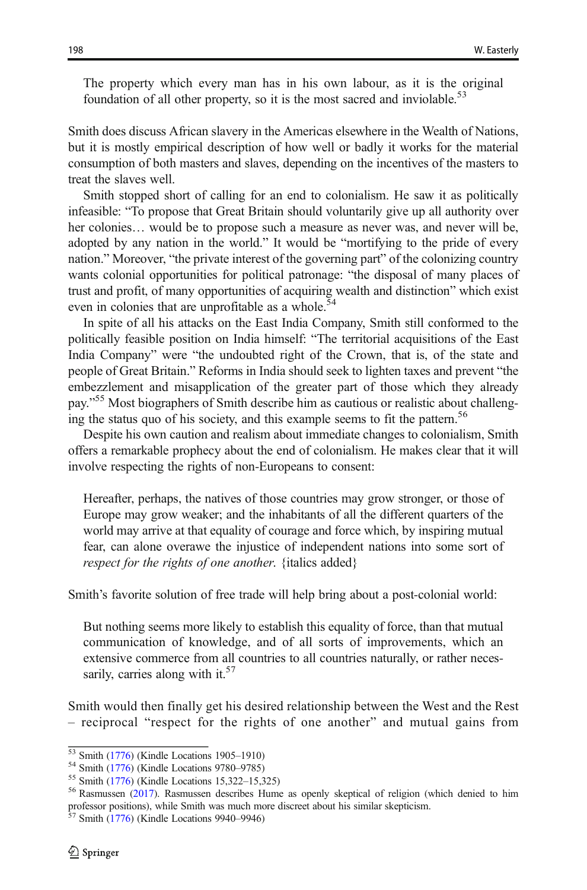The property which every man has in his own labour, as it is the original foundation of all other property, so it is the most sacred and inviolable.<sup>53</sup>

Smith does discuss African slavery in the Americas elsewhere in the Wealth of Nations, but it is mostly empirical description of how well or badly it works for the material consumption of both masters and slaves, depending on the incentives of the masters to treat the slaves well.

Smith stopped short of calling for an end to colonialism. He saw it as politically infeasible: "To propose that Great Britain should voluntarily give up all authority over her colonies... would be to propose such a measure as never was, and never will be, adopted by any nation in the world." It would be "mortifying to the pride of every nation." Moreover, "the private interest of the governing part" of the colonizing country wants colonial opportunities for political patronage: "the disposal of many places of trust and profit, of many opportunities of acquiring wealth and distinction" which exist even in colonies that are unprofitable as a whole.<sup>54</sup>

In spite of all his attacks on the East India Company, Smith still conformed to the politically feasible position on India himself: "The territorial acquisitions of the East India Company" were "the undoubted right of the Crown, that is, of the state and people of Great Britain." Reforms in India should seek to lighten taxes and prevent "the embezzlement and misapplication of the greater part of those which they already pay."<sup>55</sup> Most biographers of Smith describe him as cautious or realistic about challenging the status quo of his society, and this example seems to fit the pattern.<sup>56</sup>

Despite his own caution and realism about immediate changes to colonialism, Smith offers a remarkable prophecy about the end of colonialism. He makes clear that it will involve respecting the rights of non-Europeans to consent:

Hereafter, perhaps, the natives of those countries may grow stronger, or those of Europe may grow weaker; and the inhabitants of all the different quarters of the world may arrive at that equality of courage and force which, by inspiring mutual fear, can alone overawe the injustice of independent nations into some sort of respect for the rights of one another. {italics added}

Smith's favorite solution of free trade will help bring about a post-colonial world:

But nothing seems more likely to establish this equality of force, than that mutual communication of knowledge, and of all sorts of improvements, which an extensive commerce from all countries to all countries naturally, or rather necessarily, carries along with it. $57$ 

Smith would then finally get his desired relationship between the West and the Rest – reciprocal "respect for the rights of one another" and mutual gains from

<sup>&</sup>lt;sup>53</sup> Smith [\(1776\)](#page-22-0) (Kindle Locations 1905–1910)<br>
<sup>54</sup> Smith (1776) (Kindle Locations 9780–9785)<br>
<sup>55</sup> Smith (1776) (Kindle Locations 15,322–15,325)<br>
<sup>56</sup> Rasmussen ([2017](#page-22-0)). Rasmussen describes Hume as openly skeptical of re professor positions), while Smith was much more discreet about his similar skepticism. <sup>57</sup> Smith [\(1776\)](#page-22-0) (Kindle Locations 9940–9946)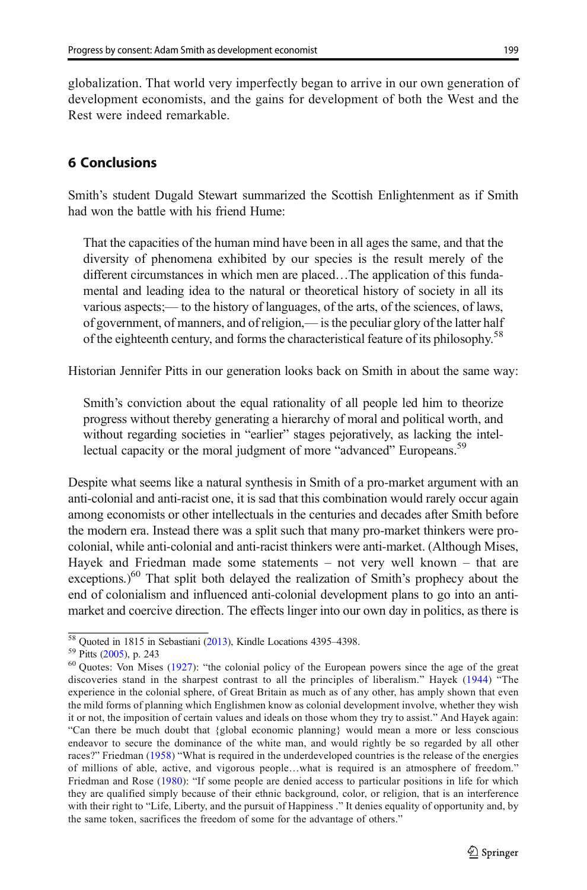globalization. That world very imperfectly began to arrive in our own generation of development economists, and the gains for development of both the West and the Rest were indeed remarkable.

# 6 Conclusions

Smith's student Dugald Stewart summarized the Scottish Enlightenment as if Smith had won the battle with his friend Hume:

That the capacities of the human mind have been in all ages the same, and that the diversity of phenomena exhibited by our species is the result merely of the different circumstances in which men are placed…The application of this fundamental and leading idea to the natural or theoretical history of society in all its various aspects;— to the history of languages, of the arts, of the sciences, of laws, of government, of manners, and of religion,— is the peculiar glory of the latter half of the eighteenth century, and forms the characteristical feature of its philosophy.<sup>58</sup>

Historian Jennifer Pitts in our generation looks back on Smith in about the same way:

Smith's conviction about the equal rationality of all people led him to theorize progress without thereby generating a hierarchy of moral and political worth, and without regarding societies in "earlier" stages pejoratively, as lacking the intellectual capacity or the moral judgment of more "advanced" Europeans.<sup>59</sup>

Despite what seems like a natural synthesis in Smith of a pro-market argument with an anti-colonial and anti-racist one, it is sad that this combination would rarely occur again among economists or other intellectuals in the centuries and decades after Smith before the modern era. Instead there was a split such that many pro-market thinkers were procolonial, while anti-colonial and anti-racist thinkers were anti-market. (Although Mises, Hayek and Friedman made some statements – not very well known – that are exceptions.) $^{60}$  That split both delayed the realization of Smith's prophecy about the end of colonialism and influenced anti-colonial development plans to go into an antimarket and coercive direction. The effects linger into our own day in politics, as there is

<sup>&</sup>lt;sup>58</sup> Quoted in 1815 in Sebastiani ([2013](#page-22-0)), Kindle Locations 4395–4398.<br><sup>59</sup> Pitts [\(2005\)](#page-22-0), p. 243<br><sup>60</sup> Quotes: Von Mises ([1927](#page-22-0)): "the colonial policy of the European powers since the age of the great discoveries stand in the sharpest contrast to all the principles of liberalism." Hayek [\(1944\)](#page-22-0) "The experience in the colonial sphere, of Great Britain as much as of any other, has amply shown that even the mild forms of planning which Englishmen know as colonial development involve, whether they wish it or not, the imposition of certain values and ideals on those whom they try to assist." And Hayek again: "Can there be much doubt that {global economic planning} would mean a more or less conscious endeavor to secure the dominance of the white man, and would rightly be so regarded by all other races?" Friedman [\(1958](#page-22-0)) "What is required in the underdeveloped countries is the release of the energies of millions of able, active, and vigorous people…what is required is an atmosphere of freedom." Friedman and Rose [\(1980\)](#page-22-0): "If some people are denied access to particular positions in life for which they are qualified simply because of their ethnic background, color, or religion, that is an interference with their right to "Life, Liberty, and the pursuit of Happiness ." It denies equality of opportunity and, by the same token, sacrifices the freedom of some for the advantage of others."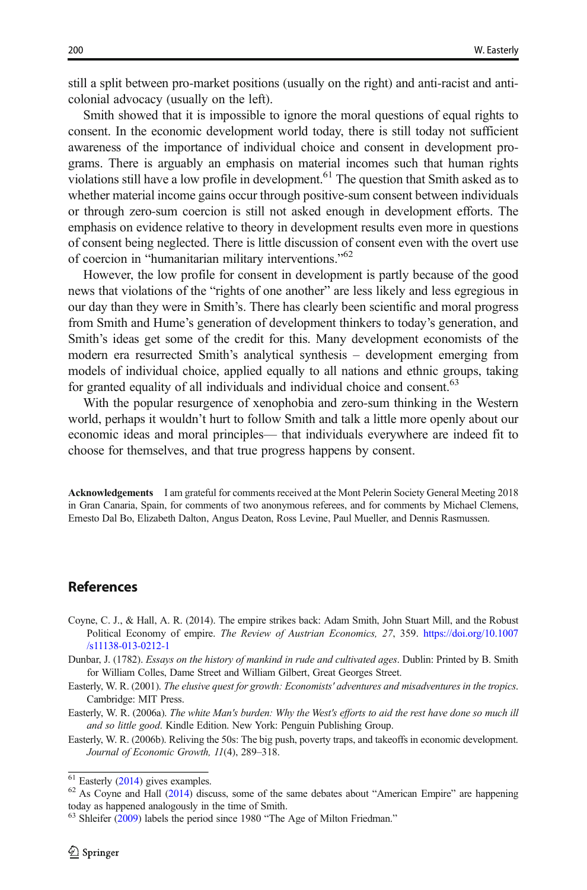<span id="page-21-0"></span>still a split between pro-market positions (usually on the right) and anti-racist and anticolonial advocacy (usually on the left).

Smith showed that it is impossible to ignore the moral questions of equal rights to consent. In the economic development world today, there is still today not sufficient awareness of the importance of individual choice and consent in development programs. There is arguably an emphasis on material incomes such that human rights violations still have a low profile in development.61 The question that Smith asked as to whether material income gains occur through positive-sum consent between individuals or through zero-sum coercion is still not asked enough in development efforts. The emphasis on evidence relative to theory in development results even more in questions of consent being neglected. There is little discussion of consent even with the overt use of coercion in "humanitarian military interventions."<sup>62</sup>

However, the low profile for consent in development is partly because of the good news that violations of the "rights of one another" are less likely and less egregious in our day than they were in Smith's. There has clearly been scientific and moral progress from Smith and Hume's generation of development thinkers to today's generation, and Smith's ideas get some of the credit for this. Many development economists of the modern era resurrected Smith's analytical synthesis – development emerging from models of individual choice, applied equally to all nations and ethnic groups, taking for granted equality of all individuals and individual choice and consent.<sup>63</sup>

With the popular resurgence of xenophobia and zero-sum thinking in the Western world, perhaps it wouldn't hurt to follow Smith and talk a little more openly about our economic ideas and moral principles— that individuals everywhere are indeed fit to choose for themselves, and that true progress happens by consent.

Acknowledgements I am grateful for comments received at the Mont Pelerin Society General Meeting 2018 in Gran Canaria, Spain, for comments of two anonymous referees, and for comments by Michael Clemens, Ernesto Dal Bo, Elizabeth Dalton, Angus Deaton, Ross Levine, Paul Mueller, and Dennis Rasmussen.

#### References

- Coyne, C. J., & Hall, A. R. (2014). The empire strikes back: Adam Smith, John Stuart Mill, and the Robust Political Economy of empire. The Review of Austrian Economics, 27, 359. [https://doi.org/10.1007](https://doi.org/10.1007/s11138-013-0212-1) [/s11138-013-0212-1](https://doi.org/10.1007/s11138-013-0212-1)
- Dunbar, J. (1782). Essays on the history of mankind in rude and cultivated ages. Dublin: Printed by B. Smith for William Colles, Dame Street and William Gilbert, Great Georges Street.
- Easterly, W. R. (2001). The elusive quest for growth: Economists' adventures and misadventures in the tropics. Cambridge: MIT Press.
- Easterly, W. R. (2006a). The white Man's burden: Why the West's efforts to aid the rest have done so much ill and so little good. Kindle Edition. New York: Penguin Publishing Group.
- Easterly, W. R. (2006b). Reliving the 50s: The big push, poverty traps, and takeoffs in economic development. Journal of Economic Growth, 11(4), 289–318.

 $^{61}$  Easterly ([2014](#page-22-0)) gives examples.<br><sup>62</sup> As Coyne and Hall (2014) discuss, some of the same debates about "American Empire" are happening today as happened analogously in the time of Smith.

<sup>&</sup>lt;sup>63</sup> Shleifer [\(2009](#page-22-0)) labels the period since 1980 "The Age of Milton Friedman."